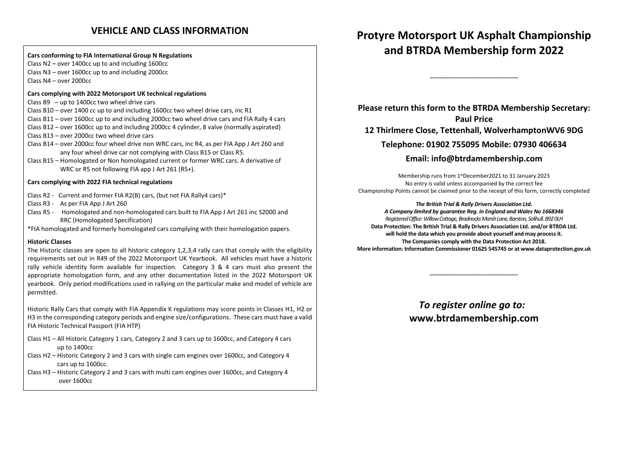# **VEHICLE AND CLASS INFORMATION**

**Cars conforming to FIA International Group N Regulations** Class N2 – over 1400cc up to and including 1600cc Class N3 – over 1600cc up to and including 2000cc Class N4 – over 2000cc

# **Cars complying with 2022 Motorsport UK technical regulations**

Class B9 – up to 1400cc two wheel drive cars

Class B10 – over 1400 cc up to and including 1600cc two wheel drive cars, inc R1 Class B11 – over 1600cc up to and including 2000cc two wheel drive cars and FIA Rally 4 cars Class B12 – over 1600cc up to and including 2000cc 4 cylinder, 8 valve (normally aspirated) Class B13 – over 2000cc two wheel drive cars

- Class B14 over 2000cc four wheel drive non WRC cars, inc R4, as per FIA App J Art 260 and any four wheel drive car not complying with Class B15 or Class R5.
- Class B15 Homologated or Non homologated current or former WRC cars. A derivative of WRC or R5 not following FIA app J Art 261 (R5+).

# **Cars complying with 2022 FIA technical regulations**

- Class R2 Current and former FIA R2(B) cars, (but not FIA Rally4 cars)\*
- Class R3 As per FIA App J Art 260
- Class R5 Homologated and non-homologated cars built to FIA App J Art 261 inc S2000 and RRC (Homologated Specification)

\*FIA homologated and formerly homologated cars complying with their homologation papers.

# **Historic Classes**

The Historic classes are open to all historic category 1,2,3,4 rally cars that comply with the eligibility requirements set out in R49 of the 2022 Motorsport UK Yearbook. All vehicles must have a historic rally vehicle identity form available for inspection. Category 3 & 4 cars must also present the appropriate homologation form, and any other documentation listed in the 2022 Motorsport UK yearbook. Only period modifications used in rallying on the particular make and model of vehicle are permitted.

Historic Rally Cars that comply with FIA Appendix K regulations may score points in Classes H1, H2 or H3 in the corresponding category periods and engine size/configurations. These cars must have a validFIA Historic Technical Passport (FIA HTP)

- Class H1 All Historic Category 1 cars, Category 2 and 3 cars up to 1600cc, and Category 4 cars up to 1400cc
- Class H2 Historic Category 2 and 3 cars with single cam engines over 1600cc, and Category 4 cars up to 1600cc.

Class H3 – Historic Category 2 and 3 cars with multi cam engines over 1600cc, and Category 4 over 1600cc

**Protyre Motorsport UK Asphalt Championship and BTRDA Membership form 2022**

~~~~~~~~~~~~~~~~~~~~~~~~~~~~~

**Please return this form to the BTRDA Membership Secretary: Paul Price 12 Thirlmere Close, Tettenhall, WolverhamptonWV6 9DG Telephone: 01902 755095 Mobile: 07930 406634 Email: info@btrdamembership.com** 

Membership runs from 1<sup>st</sup>December2021 to 31 January 2023 No entry is valid unless accompanied by the correct fee Championship Points cannot be claimed prior to the receipt of this form, correctly completed

# *The British Trial & Rally Drivers Association Ltd.*

*A Company limited by guarantee Reg. in England and Wales No 1668346 Registered Office: Willow Cottage, Bradnocks Marsh Lane, Barston, Solihull. B92 0LH* **Data Protection: The British Trial & Rally Drivers Association Ltd. and/or BTRDA Ltd. will hold the data which you provide about yourself and may process it. The Companies comply with the Data Protection Act 2018. More information: Information Commissioner 01625 545745 or at www.dataprotection.gov.uk** 

> *To register online go to:* **www.btrdamembership.com**

~~~~~~~~~~~~~~~~~~~~~~~~~~~~~